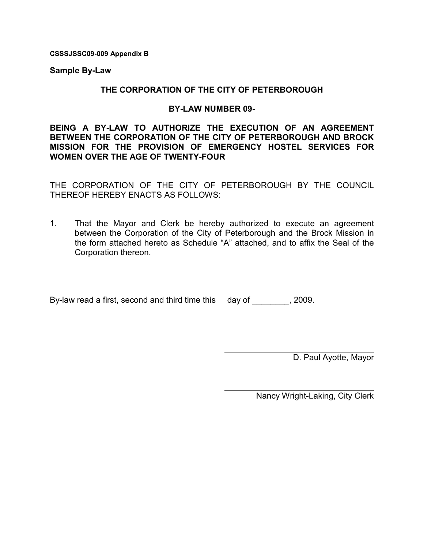CSSSJSSC09-009 Appendix B

Sample By-Law

# THE CORPORATION OF THE CITY OF PETERBOROUGH

# BY-LAW NUMBER 09-

BEING A BY-LAW TO AUTHORIZE THE EXECUTION OF AN AGREEMENT BETWEEN THE CORPORATION OF THE CITY OF PETERBOROUGH AND BROCK MISSION FOR THE PROVISION OF EMERGENCY HOSTEL SERVICES FOR WOMEN OVER THE AGE OF TWENTY-FOUR

THE CORPORATION OF THE CITY OF PETERBOROUGH BY THE COUNCIL THEREOF HEREBY ENACTS AS FOLLOWS:

1. That the Mayor and Clerk be hereby authorized to execute an agreement between the Corporation of the City of Peterborough and the Brock Mission in the form attached hereto as Schedule "A" attached, and to affix the Seal of the Corporation thereon.

 $\overline{a}$ 

By-law read a first, second and third time this day of Fig. 2009.

D. Paul Ayotte, Mayor

Nancy Wright-Laking, City Clerk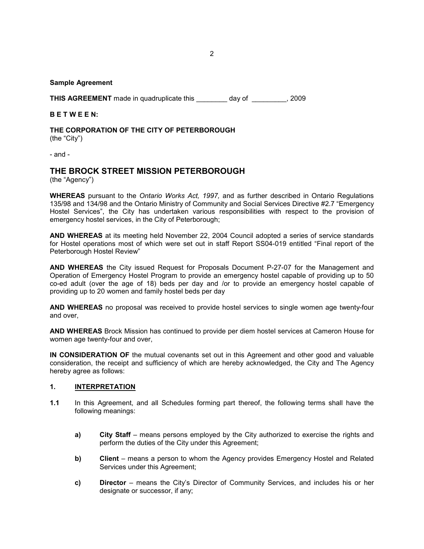#### Sample Agreement

THIS AGREEMENT made in quadruplicate this \_\_\_\_\_\_\_\_ day of \_\_\_\_\_\_\_\_\_, 2009

#### B E T W E E N:

THE CORPORATION OF THE CITY OF PETERBOROUGH (the "City")

- and -

## THE BROCK STREET MISSION PETERBOROUGH

(the "Agency")

WHEREAS pursuant to the Ontario Works Act, 1997, and as further described in Ontario Regulations 135/98 and 134/98 and the Ontario Ministry of Community and Social Services Directive #2.7 "Emergency Hostel Services", the City has undertaken various responsibilities with respect to the provision of emergency hostel services, in the City of Peterborough;

AND WHEREAS at its meeting held November 22, 2004 Council adopted a series of service standards for Hostel operations most of which were set out in staff Report SS04-019 entitled "Final report of the Peterborough Hostel Review"

AND WHEREAS the City issued Request for Proposals Document P-27-07 for the Management and Operation of Emergency Hostel Program to provide an emergency hostel capable of providing up to 50 co-ed adult (over the age of 18) beds per day and /or to provide an emergency hostel capable of providing up to 20 women and family hostel beds per day

AND WHEREAS no proposal was received to provide hostel services to single women age twenty-four and over,

AND WHEREAS Brock Mission has continued to provide per diem hostel services at Cameron House for women age twenty-four and over,

IN CONSIDERATION OF the mutual covenants set out in this Agreement and other good and valuable consideration, the receipt and sufficiency of which are hereby acknowledged, the City and The Agency hereby agree as follows:

#### 1. INTERPRETATION

- 1.1 In this Agreement, and all Schedules forming part thereof, the following terms shall have the following meanings:
	- a) City Staff means persons employed by the City authorized to exercise the rights and perform the duties of the City under this Agreement;
	- b) Client means a person to whom the Agency provides Emergency Hostel and Related Services under this Agreement;
	- c) Director means the City's Director of Community Services, and includes his or her designate or successor, if any;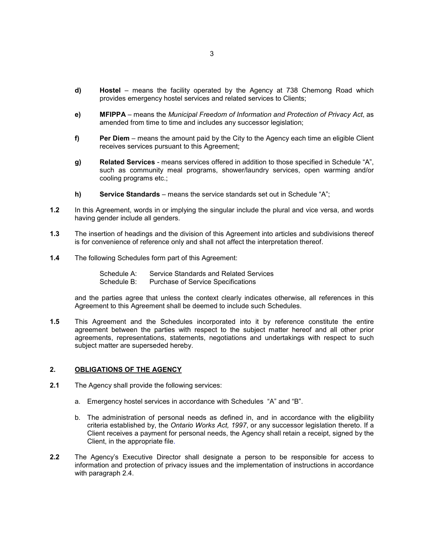- d) Hostel means the facility operated by the Agency at 738 Chemong Road which provides emergency hostel services and related services to Clients;
- e) MFIPPA means the Municipal Freedom of Information and Protection of Privacy Act, as amended from time to time and includes any successor legislation;
- f) Per Diem means the amount paid by the City to the Agency each time an eligible Client receives services pursuant to this Agreement;
- g) Related Services means services offered in addition to those specified in Schedule "A", such as community meal programs, shower/laundry services, open warming and/or cooling programs etc.;
- h) Service Standards means the service standards set out in Schedule "A";
- 1.2 In this Agreement, words in or implying the singular include the plural and vice versa, and words having gender include all genders.
- 1.3 The insertion of headings and the division of this Agreement into articles and subdivisions thereof is for convenience of reference only and shall not affect the interpretation thereof.
- 1.4 The following Schedules form part of this Agreement:
	- Schedule A: Service Standards and Related Services Schedule B: Purchase of Service Specifications

and the parties agree that unless the context clearly indicates otherwise, all references in this Agreement to this Agreement shall be deemed to include such Schedules.

1.5 This Agreement and the Schedules incorporated into it by reference constitute the entire agreement between the parties with respect to the subject matter hereof and all other prior agreements, representations, statements, negotiations and undertakings with respect to such subject matter are superseded hereby.

#### 2. OBLIGATIONS OF THE AGENCY

- 2.1 The Agency shall provide the following services:
	- a. Emergency hostel services in accordance with Schedules "A" and "B".
	- b. The administration of personal needs as defined in, and in accordance with the eligibility criteria established by, the Ontario Works Act, 1997, or any successor legislation thereto. If a Client receives a payment for personal needs, the Agency shall retain a receipt, signed by the Client, in the appropriate file.
- 2.2 The Agency's Executive Director shall designate a person to be responsible for access to information and protection of privacy issues and the implementation of instructions in accordance with paragraph 2.4.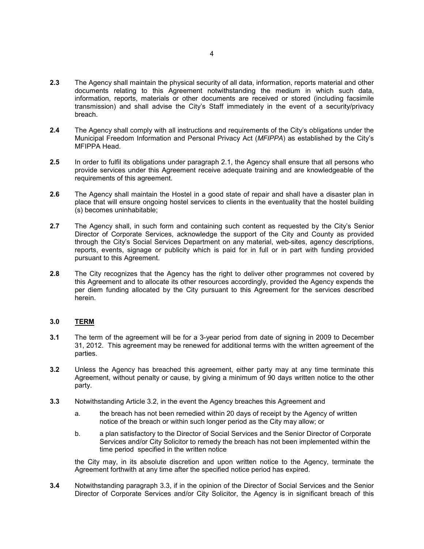- 2.3 The Agency shall maintain the physical security of all data, information, reports material and other documents relating to this Agreement notwithstanding the medium in which such data, information, reports, materials or other documents are received or stored (including facsimile transmission) and shall advise the City's Staff immediately in the event of a security/privacy breach.
- 2.4 The Agency shall comply with all instructions and requirements of the City's obligations under the Municipal Freedom Information and Personal Privacy Act (MFIPPA) as established by the City's MFIPPA Head.
- 2.5 In order to fulfil its obligations under paragraph 2.1, the Agency shall ensure that all persons who provide services under this Agreement receive adequate training and are knowledgeable of the requirements of this agreement.
- 2.6 The Agency shall maintain the Hostel in a good state of repair and shall have a disaster plan in place that will ensure ongoing hostel services to clients in the eventuality that the hostel building (s) becomes uninhabitable;
- 2.7 The Agency shall, in such form and containing such content as requested by the City's Senior Director of Corporate Services, acknowledge the support of the City and County as provided through the City's Social Services Department on any material, web-sites, agency descriptions, reports, events, signage or publicity which is paid for in full or in part with funding provided pursuant to this Agreement.
- 2.8 The City recognizes that the Agency has the right to deliver other programmes not covered by this Agreement and to allocate its other resources accordingly, provided the Agency expends the per diem funding allocated by the City pursuant to this Agreement for the services described herein.

## 3.0 TERM

- 3.1 The term of the agreement will be for a 3-year period from date of signing in 2009 to December 31, 2012. This agreement may be renewed for additional terms with the written agreement of the parties.
- 3.2 Unless the Agency has breached this agreement, either party may at any time terminate this Agreement, without penalty or cause, by giving a minimum of 90 days written notice to the other party.
- 3.3 Notwithstanding Article 3.2, in the event the Agency breaches this Agreement and
	- a. the breach has not been remedied within 20 days of receipt by the Agency of written notice of the breach or within such longer period as the City may allow; or
	- b. a plan satisfactory to the Director of Social Services and the Senior Director of Corporate Services and/or City Solicitor to remedy the breach has not been implemented within the time period specified in the written notice

the City may, in its absolute discretion and upon written notice to the Agency, terminate the Agreement forthwith at any time after the specified notice period has expired.

3.4 Notwithstanding paragraph 3.3, if in the opinion of the Director of Social Services and the Senior Director of Corporate Services and/or City Solicitor, the Agency is in significant breach of this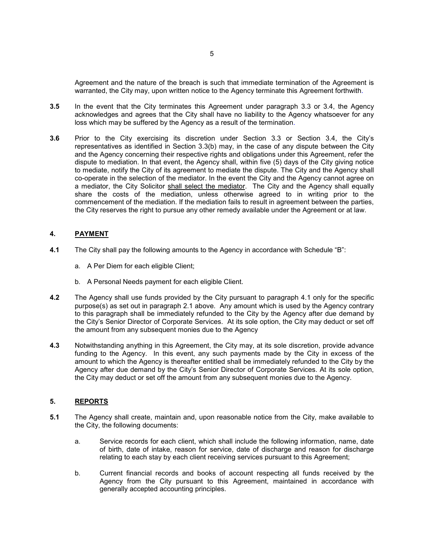Agreement and the nature of the breach is such that immediate termination of the Agreement is warranted, the City may, upon written notice to the Agency terminate this Agreement forthwith.

- 3.5 In the event that the City terminates this Agreement under paragraph 3.3 or 3.4, the Agency acknowledges and agrees that the City shall have no liability to the Agency whatsoever for any loss which may be suffered by the Agency as a result of the termination.
- 3.6 Prior to the City exercising its discretion under Section 3.3 or Section 3.4, the City's representatives as identified in Section 3.3(b) may, in the case of any dispute between the City and the Agency concerning their respective rights and obligations under this Agreement, refer the dispute to mediation. In that event, the Agency shall, within five (5) days of the City giving notice to mediate, notify the City of its agreement to mediate the dispute. The City and the Agency shall co-operate in the selection of the mediator. In the event the City and the Agency cannot agree on a mediator, the City Solicitor shall select the mediator. The City and the Agency shall equally share the costs of the mediation, unless otherwise agreed to in writing prior to the commencement of the mediation. If the mediation fails to result in agreement between the parties, the City reserves the right to pursue any other remedy available under the Agreement or at law.

#### 4. PAYMENT

- 4.1 The City shall pay the following amounts to the Agency in accordance with Schedule "B":
	- a. A Per Diem for each eligible Client;
	- b. A Personal Needs payment for each eligible Client.
- 4.2 The Agency shall use funds provided by the City pursuant to paragraph 4.1 only for the specific purpose(s) as set out in paragraph 2.1 above. Any amount which is used by the Agency contrary to this paragraph shall be immediately refunded to the City by the Agency after due demand by the City's Senior Director of Corporate Services. At its sole option, the City may deduct or set off the amount from any subsequent monies due to the Agency
- 4.3 Notwithstanding anything in this Agreement, the City may, at its sole discretion, provide advance funding to the Agency. In this event, any such payments made by the City in excess of the amount to which the Agency is thereafter entitled shall be immediately refunded to the City by the Agency after due demand by the City's Senior Director of Corporate Services. At its sole option, the City may deduct or set off the amount from any subsequent monies due to the Agency.

#### 5. REPORTS

- 5.1 The Agency shall create, maintain and, upon reasonable notice from the City, make available to the City, the following documents:
	- a. Service records for each client, which shall include the following information, name, date of birth, date of intake, reason for service, date of discharge and reason for discharge relating to each stay by each client receiving services pursuant to this Agreement;
	- b. Current financial records and books of account respecting all funds received by the Agency from the City pursuant to this Agreement, maintained in accordance with generally accepted accounting principles.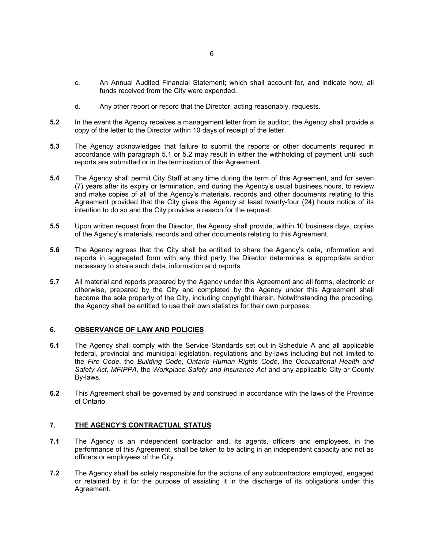- c. An Annual Audited Financial Statement; which shall account for, and indicate how, all funds received from the City were expended.
- d. Any other report or record that the Director, acting reasonably, requests.
- 5.2 In the event the Agency receives a management letter from its auditor, the Agency shall provide a copy of the letter to the Director within 10 days of receipt of the letter.
- 5.3 The Agency acknowledges that failure to submit the reports or other documents required in accordance with paragraph 5.1 or 5.2 may result in either the withholding of payment until such reports are submitted or in the termination of this Agreement.
- 5.4 The Agency shall permit City Staff at any time during the term of this Agreement, and for seven (7) years after its expiry or termination, and during the Agency's usual business hours, to review and make copies of all of the Agency's materials, records and other documents relating to this Agreement provided that the City gives the Agency at least twenty-four (24) hours notice of its intention to do so and the City provides a reason for the request.
- 5.5 Upon written request from the Director, the Agency shall provide, within 10 business days, copies of the Agency's materials, records and other documents relating to this Agreement.
- 5.6 The Agency agrees that the City shall be entitled to share the Agency's data, information and reports in aggregated form with any third party the Director determines is appropriate and/or necessary to share such data, information and reports.
- 5.7 All material and reports prepared by the Agency under this Agreement and all forms, electronic or otherwise, prepared by the City and completed by the Agency under this Agreement shall become the sole property of the City, including copyright therein. Notwithstanding the preceding, the Agency shall be entitled to use their own statistics for their own purposes.

## 6. OBSERVANCE OF LAW AND POLICIES

- 6.1 The Agency shall comply with the Service Standards set out in Schedule A and all applicable federal, provincial and municipal legislation, regulations and by-laws including but not limited to the Fire Code, the Building Code, Ontario Human Rights Code, the Occupational Health and Safety Act, MFIPPA, the Workplace Safety and Insurance Act and any applicable City or County By-laws.
- 6.2 This Agreement shall be governed by and construed in accordance with the laws of the Province of Ontario.

## 7. THE AGENCY'S CONTRACTUAL STATUS

- 7.1 The Agency is an independent contractor and, its agents, officers and employees, in the performance of this Agreement, shall be taken to be acting in an independent capacity and not as officers or employees of the City.
- 7.2 The Agency shall be solely responsible for the actions of any subcontractors employed, engaged or retained by it for the purpose of assisting it in the discharge of its obligations under this Agreement.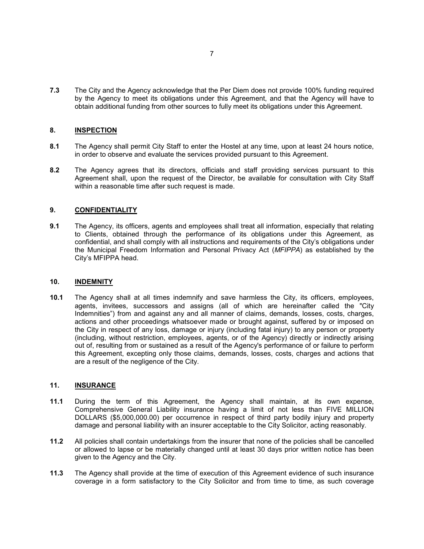7.3 The City and the Agency acknowledge that the Per Diem does not provide 100% funding required by the Agency to meet its obligations under this Agreement, and that the Agency will have to obtain additional funding from other sources to fully meet its obligations under this Agreement.

#### 8. INSPECTION

- 8.1 The Agency shall permit City Staff to enter the Hostel at any time, upon at least 24 hours notice, in order to observe and evaluate the services provided pursuant to this Agreement.
- 8.2 The Agency agrees that its directors, officials and staff providing services pursuant to this Agreement shall, upon the request of the Director, be available for consultation with City Staff within a reasonable time after such request is made.

#### 9. CONFIDENTIALITY

9.1 The Agency, its officers, agents and employees shall treat all information, especially that relating to Clients, obtained through the performance of its obligations under this Agreement, as confidential, and shall comply with all instructions and requirements of the City's obligations under the Municipal Freedom Information and Personal Privacy Act (MFIPPA) as established by the City's MFIPPA head.

#### 10. INDEMNITY

10.1 The Agency shall at all times indemnify and save harmless the City, its officers, employees, agents, invitees, successors and assigns (all of which are hereinafter called the "City Indemnities") from and against any and all manner of claims, demands, losses, costs, charges, actions and other proceedings whatsoever made or brought against, suffered by or imposed on the City in respect of any loss, damage or injury (including fatal injury) to any person or property (including, without restriction, employees, agents, or of the Agency) directly or indirectly arising out of, resulting from or sustained as a result of the Agency's performance of or failure to perform this Agreement, excepting only those claims, demands, losses, costs, charges and actions that are a result of the negligence of the City.

#### 11. **INSURANCE**

- 11.1 During the term of this Agreement, the Agency shall maintain, at its own expense, Comprehensive General Liability insurance having a limit of not less than FIVE MILLION DOLLARS (\$5,000,000.00) per occurrence in respect of third party bodily injury and property damage and personal liability with an insurer acceptable to the City Solicitor, acting reasonably.
- 11.2 All policies shall contain undertakings from the insurer that none of the policies shall be cancelled or allowed to lapse or be materially changed until at least 30 days prior written notice has been given to the Agency and the City.
- 11.3 The Agency shall provide at the time of execution of this Agreement evidence of such insurance coverage in a form satisfactory to the City Solicitor and from time to time, as such coverage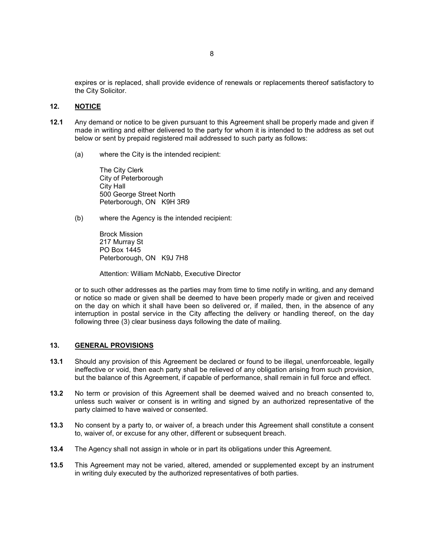expires or is replaced, shall provide evidence of renewals or replacements thereof satisfactory to the City Solicitor.

#### 12. NOTICE

- 12.1 Any demand or notice to be given pursuant to this Agreement shall be properly made and given if made in writing and either delivered to the party for whom it is intended to the address as set out below or sent by prepaid registered mail addressed to such party as follows:
	- (a) where the City is the intended recipient:

The City Clerk City of Peterborough City Hall 500 George Street North Peterborough, ON K9H 3R9

(b) where the Agency is the intended recipient:

Brock Mission 217 Murray St PO Box 1445 Peterborough, ON K9J 7H8

Attention: William McNabb, Executive Director

or to such other addresses as the parties may from time to time notify in writing, and any demand or notice so made or given shall be deemed to have been properly made or given and received on the day on which it shall have been so delivered or, if mailed, then, in the absence of any interruption in postal service in the City affecting the delivery or handling thereof, on the day following three (3) clear business days following the date of mailing.

#### 13. GENERAL PROVISIONS

- 13.1 Should any provision of this Agreement be declared or found to be illegal, unenforceable, legally ineffective or void, then each party shall be relieved of any obligation arising from such provision, but the balance of this Agreement, if capable of performance, shall remain in full force and effect.
- 13.2 No term or provision of this Agreement shall be deemed waived and no breach consented to, unless such waiver or consent is in writing and signed by an authorized representative of the party claimed to have waived or consented.
- 13.3 No consent by a party to, or waiver of, a breach under this Agreement shall constitute a consent to, waiver of, or excuse for any other, different or subsequent breach.
- 13.4 The Agency shall not assign in whole or in part its obligations under this Agreement.
- 13.5 This Agreement may not be varied, altered, amended or supplemented except by an instrument in writing duly executed by the authorized representatives of both parties.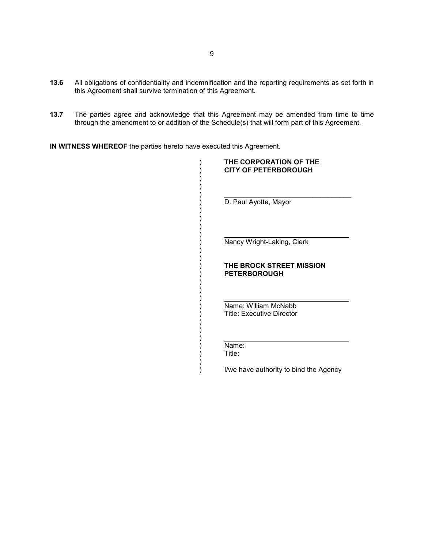- 13.6 All obligations of confidentiality and indemnification and the reporting requirements as set forth in this Agreement shall survive termination of this Agreement.
- 13.7 The parties agree and acknowledge that this Agreement may be amended from time to time through the amendment to or addition of the Schedule(s) that will form part of this Agreement.

IN WITNESS WHEREOF the parties hereto have executed this Agreement.

| THE CORPORATION OF THE<br><b>CITY OF PETERBOROUGH</b>    |
|----------------------------------------------------------|
|                                                          |
| D. Paul Ayotte, Mayor                                    |
|                                                          |
| Nancy Wright-Laking, Clerk                               |
| <b>THE BROCK STREET MISSION</b>                          |
| <b>PETERBOROUGH</b>                                      |
|                                                          |
| Name: William McNabb<br><b>Title: Executive Director</b> |
|                                                          |
| Name:<br>Title:                                          |
|                                                          |

) I/we have authority to bind the Agency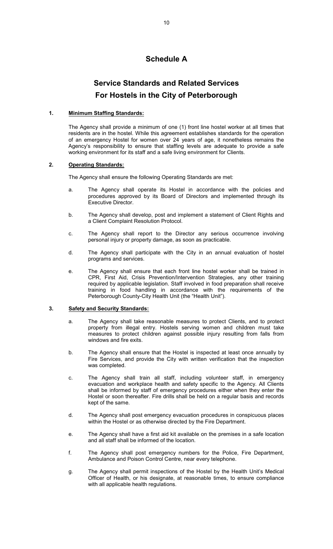# Schedule A

# Service Standards and Related Services For Hostels in the City of Peterborough

## 1. Minimum Staffing Standards:

 The Agency shall provide a minimum of one (1) front line hostel worker at all times that residents are in the hostel. While this agreement establishes standards for the operation of an emergency Hostel for women over 24 years of age, it nonetheless remains the Agency's responsibility to ensure that staffing levels are adequate to provide a safe working environment for its staff and a safe living environment for Clients.

## 2. Operating Standards:

The Agency shall ensure the following Operating Standards are met:

- a. The Agency shall operate its Hostel in accordance with the policies and procedures approved by its Board of Directors and implemented through its Executive Director.
- b. The Agency shall develop, post and implement a statement of Client Rights and a Client Complaint Resolution Protocol.
- c. The Agency shall report to the Director any serious occurrence involving personal injury or property damage, as soon as practicable.
- d. The Agency shall participate with the City in an annual evaluation of hostel programs and services.
- e. The Agency shall ensure that each front line hostel worker shall be trained in CPR, First Aid, Crisis Prevention/Intervention Strategies, any other training required by applicable legislation. Staff involved in food preparation shall receive training in food handling in accordance with the requirements of the Peterborough County-City Health Unit (the "Health Unit").

#### 3. Safety and Security Standards:

- a. The Agency shall take reasonable measures to protect Clients, and to protect property from illegal entry. Hostels serving women and children must take measures to protect children against possible injury resulting from falls from windows and fire exits.
- b. The Agency shall ensure that the Hostel is inspected at least once annually by Fire Services, and provide the City with written verification that the inspection was completed.
- c. The Agency shall train all staff, including volunteer staff, in emergency evacuation and workplace health and safety specific to the Agency. All Clients shall be informed by staff of emergency procedures either when they enter the Hostel or soon thereafter. Fire drills shall be held on a regular basis and records kept of the same.
- d. The Agency shall post emergency evacuation procedures in conspicuous places within the Hostel or as otherwise directed by the Fire Department.
- e. The Agency shall have a first aid kit available on the premises in a safe location and all staff shall be informed of the location.
- f. The Agency shall post emergency numbers for the Police, Fire Department, Ambulance and Poison Control Centre, near every telephone.
- g. The Agency shall permit inspections of the Hostel by the Health Unit's Medical Officer of Health, or his designate, at reasonable times, to ensure compliance with all applicable health regulations.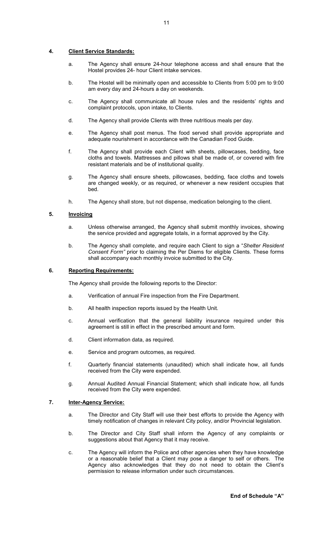## 4. Client Service Standards:

- a. The Agency shall ensure 24-hour telephone access and shall ensure that the Hostel provides 24- hour Client intake services.
- b. The Hostel will be minimally open and accessible to Clients from 5:00 pm to 9:00 am every day and 24-hours a day on weekends.
- c. The Agency shall communicate all house rules and the residents' rights and complaint protocols, upon intake, to Clients.
- d. The Agency shall provide Clients with three nutritious meals per day.
- e. The Agency shall post menus. The food served shall provide appropriate and adequate nourishment in accordance with the Canadian Food Guide.
- f. The Agency shall provide each Client with sheets, pillowcases, bedding, face cloths and towels. Mattresses and pillows shall be made of, or covered with fire resistant materials and be of institutional quality.
- g. The Agency shall ensure sheets, pillowcases, bedding, face cloths and towels are changed weekly, or as required, or whenever a new resident occupies that bed.
- h. The Agency shall store, but not dispense, medication belonging to the client.

## 5. Invoicing

- a. Unless otherwise arranged, the Agency shall submit monthly invoices, showing the service provided and aggregate totals, in a format approved by the City.
- b. The Agency shall complete, and require each Client to sign a "Shelter Resident Consent Form" prior to claiming the Per Diems for eligible Clients. These forms shall accompany each monthly invoice submitted to the City.

#### 6. Reporting Requirements:

The Agency shall provide the following reports to the Director:

- a. Verification of annual Fire inspection from the Fire Department.
- b. All health inspection reports issued by the Health Unit.
- c. Annual verification that the general liability insurance required under this agreement is still in effect in the prescribed amount and form.
- d. Client information data, as required.
- e. Service and program outcomes, as required.
- f. Quarterly financial statements (unaudited) which shall indicate how, all funds received from the City were expended.
- g. Annual Audited Annual Financial Statement; which shall indicate how, all funds received from the City were expended.

# 7. **Inter-Agency Service:**

- a. The Director and City Staff will use their best efforts to provide the Agency with timely notification of changes in relevant City policy, and/or Provincial legislation.
- b. The Director and City Staff shall inform the Agency of any complaints or suggestions about that Agency that it may receive.
- c. The Agency will inform the Police and other agencies when they have knowledge or a reasonable belief that a Client may pose a danger to self or others. The Agency also acknowledges that they do not need to obtain the Client's permission to release information under such circumstances.